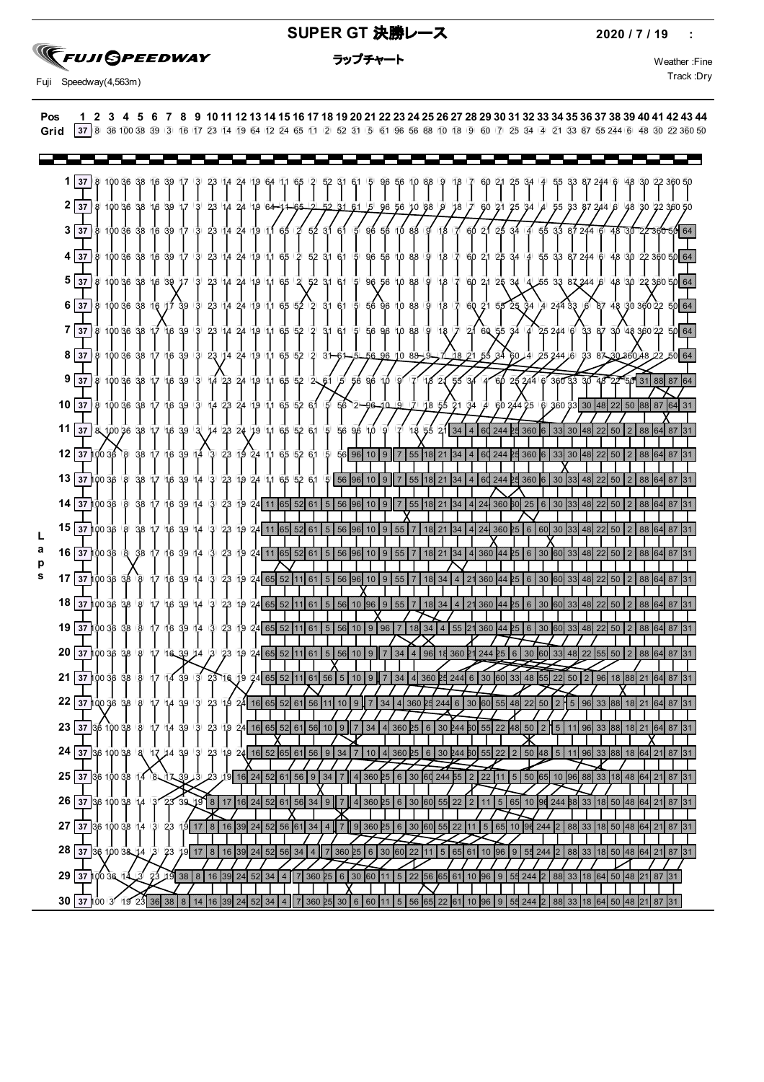#### **SUPER GT 決勝レース** 2020 / 7 / 19 :

## **SEUJI SPEEDWAY**

Track :Dry Fuji Speedway(4,563m)

| Pos 1 2 3 4 5 6 7 8 9 10 11 12 13 14 15 16 17 18 19 20 21 22 23 24 25 26 27 28 29 30 31 32 33 34 35 36 37 38 39 40 41 42 43 44      |  |  |  |  |  |  |  |  |  |  |  |  |  |  |  |  |  |  |  |  |  |
|-------------------------------------------------------------------------------------------------------------------------------------|--|--|--|--|--|--|--|--|--|--|--|--|--|--|--|--|--|--|--|--|--|
| Grid 37 8 36 100 38 39 3 16 17 23 14 19 64 12 24 65 11 2 52 31 5 61 96 56 88 10 18 9 60 7 25 34 4 21 33 87 55 244 6 48 30 22 360 50 |  |  |  |  |  |  |  |  |  |  |  |  |  |  |  |  |  |  |  |  |  |

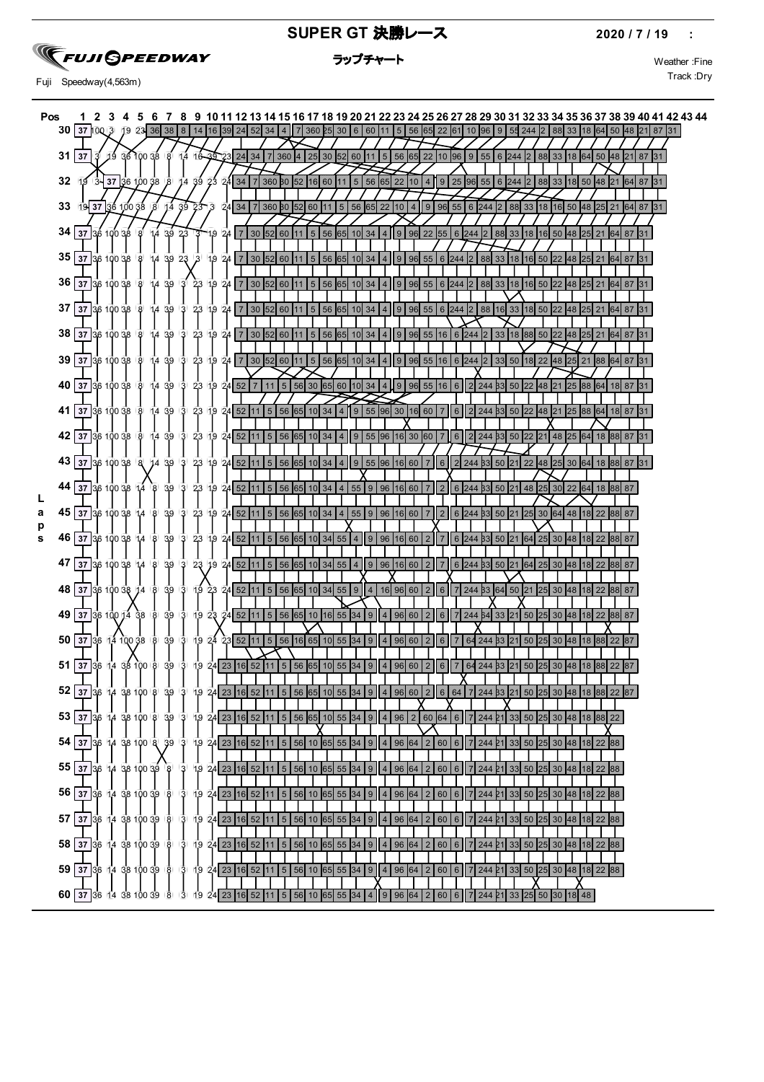

#### **SUPER GT 決勝レース** 2020 / 7 / 19 :

ラップチャート マングラック Weather :Fine

Track :Dry Fuji Speedway(4,563m)